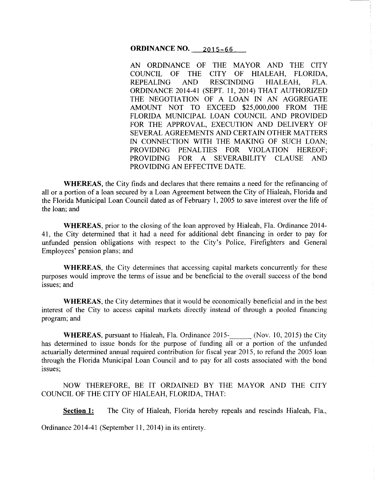#### **ORDINANCE NO.** 2015-66

AN ORDINANCE OF THE MAYOR AND THE CITY COUNCIL OF THE CITY OF HIALEAH, FLORIDA, REPEALING AND RESCINDING HIALEAH, FLA. ORDINANCE 2014-41 (SEPT. 11, 2014) THAT AUTHORIZED THE NEGOTIATION OF A LOAN IN AN AGGREGATE AMOUNT NOT TO EXCEED \$25,000,000 FROM THE FLORIDA MUNICIPAL LOAN COUNCIL AND PROVIDED FOR THE APPROVAL, EXECUTION AND DELIVERY OF SEVERAL AGREEMENTS AND CERTAIN OTHER MATTERS IN CONNECTION WITH THE MAKING OF SUCH LOAN; PROVIDING PENALTIES FOR VIOLATION HEREOF; PROVIDING FOR A SEVERABILITY CLAUSE AND PROVIDING AN EFFECTIVE DATE.

÷.  $\hat{\mathbf{r}}$ 

**WHEREAS,** the City finds and declares that there remains a need for the refinancing of all or a portion of a loan secured by a Loan Agreement between the City of Hialeah, Florida and the Florida Municipal Loan Council dated as of February 1, 2005 to save interest over the life of the loan; and

**WHEREAS,** prior to the closing of the loan approved by Hialeah, Fla. Ordinance 2014- 41, the City determined that it had a need for additional debt financing in order to pay for unfunded pension obligations with respect to the City's Police, Firefighters and General Employees' pension plans; and

**WHEREAS,** the City determines that accessing capital markets concurrently for these purposes would improve the terms of issue and be beneficial to the overall success of the bond issues; and

**WHEREAS,** the City determines that it would be economically beneficial and in the best interest of the City to access capital markets directly instead of through a pooled financing program; and

**WHEREAS, pursuant to Hialeah, Fla. Ordinance 2015-** (Nov. 10, 2015) the City has determined to issue bonds for the purpose of funding all or a portion of the unfunded actuarially determined annual required contribution for fiscal year 2015, to refund the 2005 loan through the Florida Municipal Loan Council and to pay for all costs associated with the bond issues;

NOW THEREFORE, BE IT ORDAINED BY THE MAYOR AND THE CITY COUNCIL OF THE CITY OF HIALEAH, FLORIDA, THAT:

**Section 1:** The City of Hialeah, Florida hereby repeals and rescinds Hialeah, Fla.,

Ordinance 2014-41 (September 11, 2014) in its entirety.